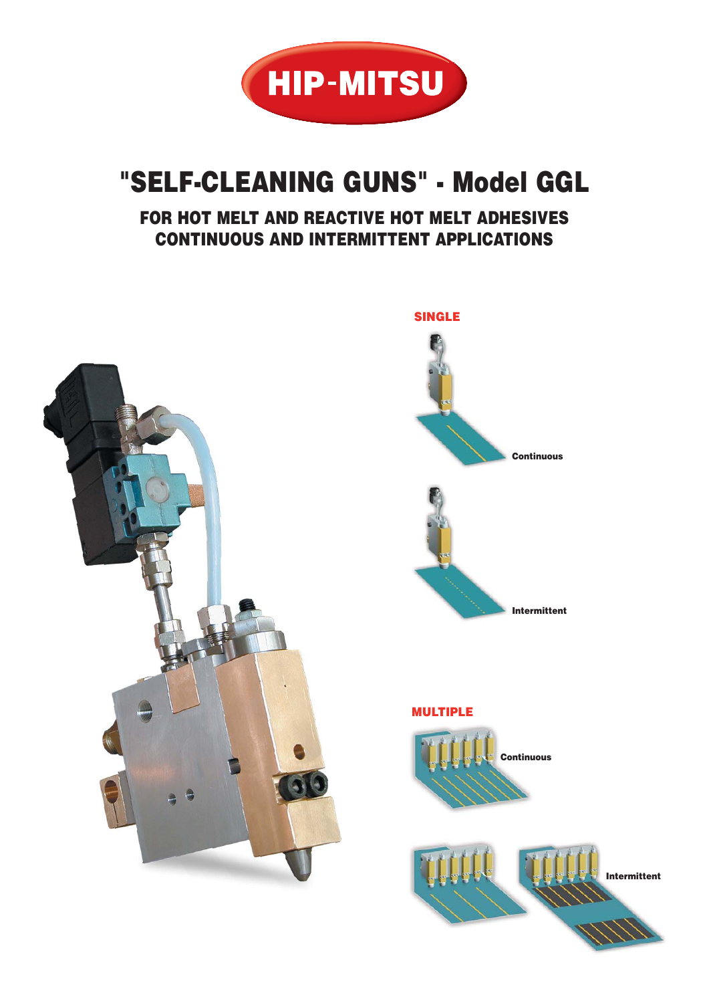

## **"SELF-CLEANING GUNS" - Model GGL**

## **FOR HOT MELT AND REACTIVE HOT MELT ADHESIVES CONTINUOUS AND INTERMITTENT APPLICATIONS**